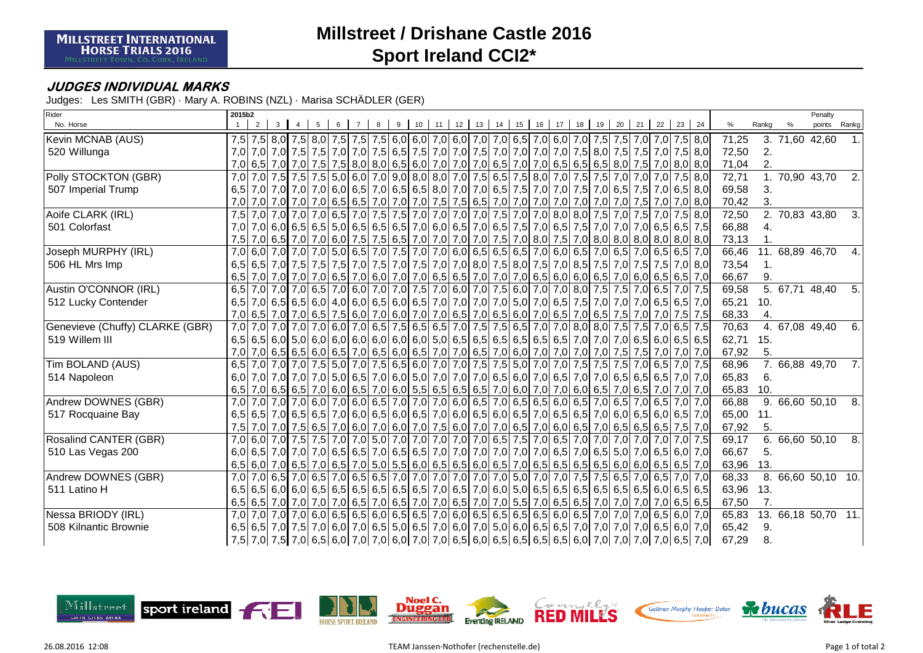# **Millstreet / Drishane Castle 2016Sport Ireland CCI2\***

## **JUDGES INDIVIDUAL MARKS**

Judges: Les SMITH (GBR) · Mary A. ROBINS (NZL) · Marisa SCHÄDLER (GER)

| Rider                           |                  | 2015b2         |                |                |                             |   |                |               |   |                                                                                                                                 |    |       |  |    |                |    |                 |        | Penalty           |                   |                                                                                                                                         |                                                                                                                                         |       |                |   |                            |                  |
|---------------------------------|------------------|----------------|----------------|----------------|-----------------------------|---|----------------|---------------|---|---------------------------------------------------------------------------------------------------------------------------------|----|-------|--|----|----------------|----|-----------------|--------|-------------------|-------------------|-----------------------------------------------------------------------------------------------------------------------------------------|-----------------------------------------------------------------------------------------------------------------------------------------|-------|----------------|---|----------------------------|------------------|
| No. Horse                       |                  | $\overline{2}$ | 3 <sup>1</sup> | $\overline{4}$ | 5                           | 6 | $\overline{7}$ | 8             | 9 | 10                                                                                                                              | 11 | 12 13 |  | 14 | $15 \parallel$ | 16 | 17 <sup>1</sup> | 18  19 | 20                | $21 \mid 22 \mid$ | 23                                                                                                                                      | 24                                                                                                                                      | %     | Rankg          | % | points                     | Rankg            |
| Kevin MCNAB (AUS)               |                  |                |                |                |                             |   |                |               |   |                                                                                                                                 |    |       |  |    |                |    |                 |        |                   |                   | 7,5   8,0   7,5   8,0   7,5   8,0   7,5   7,5   7,5   6,0   7,0   6,0   7,0   7,0   6,5   7,0   7,0   7,0   7,5   7,0   7,0   7,5   8,0 |                                                                                                                                         | 71,25 |                |   | 3. 71,60 42,60             |                  |
| 520 Willunga                    |                  |                |                |                |                             |   |                |               |   |                                                                                                                                 |    |       |  |    |                |    |                 |        |                   |                   |                                                                                                                                         | 7,0 7,5 7,0 7,5 7,0 7,5 8,0 7,5 8,0 7,5 8,0 7,6 7,0 7,5 7,0 7,0 7,0 7,0 7,0 7,0 7,0 7,5 8,0 7,5 7,0 7,5 8,0                             | 72,50 | 2.             |   |                            |                  |
|                                 |                  |                |                |                |                             |   |                |               |   |                                                                                                                                 |    |       |  |    |                |    |                 |        |                   |                   |                                                                                                                                         | 6,5 7,0 7,0 7,5 7,5 8,0 8,0 6,5 6,0 7,0 7,0 7,0 6,5 7,0 7,0 6,5 6,5 6,5 6,5 8,0 7,5 7,0 8,0 8,0 8,0                                     | 71,04 | 2.             |   |                            |                  |
| Polly STOCKTON (GBR)            | 7,0              |                |                |                |                             |   |                |               |   | 7,0 7,5 7,5 7,5 5,0 6,0 7,0 9,0 8,0 8,0 7,0 7,5 6,5 7,5 8,0 7,0                                                                 |    |       |  |    |                |    |                 |        | $7,5$ 7.5 $7,0$   |                   |                                                                                                                                         | 7,0 7,0 7,5 8,0                                                                                                                         | 72,71 |                |   | 1. 70,90 43,70 2.          |                  |
| 507 Imperial Trump              |                  |                |                |                |                             |   |                |               |   |                                                                                                                                 |    |       |  |    |                |    |                 |        |                   |                   |                                                                                                                                         | 6,5 7,0 7,0 7,0 7,0 7,0 6,5 8,0 6,5 7,0 6,5 6,5 8,0 7,0 7,0 6,5 7,5 7,0 7,0 7,0 7,5 7,0 6,5 7,5 7,0 6,5 8,0                             | 69,58 | 3.             |   |                            |                  |
|                                 |                  |                |                |                | 7,0 7,0 7,0 7,0 6,5 6,5 7,0 |   |                |               |   |                                                                                                                                 |    |       |  |    |                |    |                 |        | $7,0$ 7,0 $7,0$   |                   |                                                                                                                                         | 7,5 7,0 7,0 8,0                                                                                                                         | 70,42 | 3.             |   |                            |                  |
| Aoife CLARK (IRL)               | 7,5              |                |                |                |                             |   |                |               |   | 7,0 7,0 7,0 7,0 6,5 7,0 7,5 7,5 7,0 7,0 7,0 7,0 7,0 7,5 7,0 8,0 8,0 7,5 7,0                                                     |    |       |  |    |                |    |                 |        |                   |                   |                                                                                                                                         | $7.5$ $7.0$ $7.5$ 8.0                                                                                                                   | 72,50 |                |   | 2. 70,83 43,80             | $\overline{3}$ . |
| 501 Colorfast                   |                  |                |                |                |                             |   |                |               |   | 7,0 6,0 7,5 7,0 6,5 6,5 6,6 6,5 6,5 6,5 7,0 6,0 6,5 7,0 6,5 7,5 7,0 6,5 7,5 7,0 7,0 7,0                                         |    |       |  |    |                |    |                 |        |                   |                   |                                                                                                                                         | 7,0 6,5 6,5 7,5                                                                                                                         | 66,88 | 4.             |   |                            |                  |
|                                 | 7.5 <sub>1</sub> |                |                |                |                             |   |                |               |   | 7,0 6,5 7,0 7,0 6,0 7,5 7,5 6,5 7,0 7,0 7,0 7,0 7,5 7,0 8,0 7,5                                                                 |    |       |  |    |                |    |                 |        |                   |                   |                                                                                                                                         | 7,0 8,0 8,0 8,0 8,0 8,0 8,0 8,0                                                                                                         | 73,13 |                |   |                            |                  |
| Joseph MURPHY (IRL)             | 7,0              |                |                |                |                             |   |                |               |   |                                                                                                                                 |    |       |  |    |                |    |                 |        |                   |                   | 6,0 7,0 7,0 7,0 5,0 6,5 7,0 6,5 7,0 7,5 7,0 7,0 6,0 6,5 6,5 6,5 6,5 7,0 6,0 6,5 7,0 6,5 7,0 6,5 6,5 6,5 7,0                             |                                                                                                                                         | 66,46 |                |   | 11. 68,89 46,70            | 4.               |
| 506 HL Mrs Imp                  |                  |                |                |                |                             |   |                |               |   | 6,5 6,5 7,0 7,5 7,5 7,5 7,6 7,6 7,0 7,5 7,0 7,5 7,0 7,0 8,0 7,5 8,0 7,5 7,0 8,5 7,0 8,5 7,5 7,0                                 |    |       |  |    |                |    |                 |        |                   |                   |                                                                                                                                         | 7.5 7.5 7.0 8.0                                                                                                                         | 73,54 |                |   |                            |                  |
|                                 | 6,5              |                |                |                |                             |   |                |               |   |                                                                                                                                 |    |       |  |    |                |    |                 |        |                   |                   |                                                                                                                                         | 7,0 7,0 7,0 6,5 6,5 7,0 6,5 7,0 6,5 7,0 6,5 6,5 7,0 7,0 7,0 7,0 6,5 6,6 6,0 6,6 7,0 6,0 6,5 6,5 6,5 7,0                                 | 66,67 | 9.             |   |                            |                  |
| Austin O'CONNOR (IRL)           |                  |                |                |                |                             |   |                |               |   |                                                                                                                                 |    |       |  |    |                |    |                 |        |                   |                   | 6,5 7,0 7,0 7,0 6,5 7,0 6,0 7,0 7,0 7,0 7,5 7,0 6,0 7,0 7,5 6,0 7,0 7,0 8,0 7,5 7,5 7,6 7,0 6,5 7,0                                     | 7,5                                                                                                                                     | 69,58 |                |   | $\overline{6.67,71}$ 48,40 | 5.               |
| 512 Lucky Contender             |                  |                |                |                |                             |   |                |               |   |                                                                                                                                 |    |       |  |    |                |    |                 |        |                   |                   |                                                                                                                                         | 6,5 6,5 6,5 6,6 6,6 6,6 6,6 6,6 6,7,0 6,6 7,0 7,0 7,0 6,5 7,0 6,5 7,0 7,0 6,5 7,70 7,0 7,0 7,0 7,0 6,5 6,5 7,0                          | 65,21 | 10.            |   |                            |                  |
|                                 | 7,0              |                |                |                |                             |   |                |               |   |                                                                                                                                 |    |       |  |    |                |    |                 |        |                   |                   | 6,5 7,0 6,5 7,0 6,5 7,0 6,5 7,0 6,0 7,0 6,0 7,0 6,0 7,0 6,5 7,0 6,5 6,0 7,0 6,5 7,0 6,5 7,0 7,0 7,0 7,5                                 | 7,5                                                                                                                                     | 68,33 | $\overline{4}$ |   |                            |                  |
| Genevieve (Chuffy) CLARKE (GBR) | 7,0              |                |                |                |                             |   |                |               |   |                                                                                                                                 |    |       |  |    |                |    |                 |        |                   |                   | 7,0 7,0 7,0 7,0 6,0 7,0 6,0 7,5 6,5 7,6 6,5 7,0 7,5 6,5 7,0 7,6 7,0 8,0 8,0 7,5 7,5 7,5 7,0 6,5 7,5                                     |                                                                                                                                         | 70,63 |                |   | 4. 67,08 49,40             | 6.               |
| 519 Willem III                  |                  |                |                |                |                             |   |                |               |   |                                                                                                                                 |    |       |  |    |                |    |                 |        |                   |                   |                                                                                                                                         |                                                                                                                                         | 62,71 | 15.            |   |                            |                  |
|                                 | 7,0              |                |                |                |                             |   |                |               |   |                                                                                                                                 |    |       |  |    |                |    |                 |        |                   |                   |                                                                                                                                         | 7,0 6,5 6,6 6,6 6,0 6,5 7,0 6,5 6,0 6,5 7,0 6,5 7,0 6,5 7,0 6,6 7,0 6,0 7,0 7,0 7,0 7,0 7,0 7,5 7,5 7,0 7,0 7,0                         | 67,92 | 5.             |   |                            |                  |
| Tim BOLAND (AUS)                |                  |                |                |                |                             |   |                |               |   | 6,5 7,0 7,0 7,0 7,5 5,0 7,0 7,5 6,5 6,0 7,0 7,0 7,5 7,5 5,0 7,0 7,0                                                             |    |       |  |    |                |    |                 |        | $7,5$ $7,5$ $7,5$ |                   | 7,0 6,5 7,0                                                                                                                             | 7,5                                                                                                                                     | 68,96 |                |   | 7.66,8849,70               | 7.               |
| 514 Napoleon                    | 6.0              |                |                |                |                             |   |                |               |   |                                                                                                                                 |    |       |  |    |                |    |                 |        |                   |                   | 7,0 7,0 7,0 6,5 6,5 6,5 7,0 6,6 7,0 6,0 5,0 7,0 7,0 7,0 6,5 6,0 7,0 6,5 7,0 7,0 6,5 6,5 6,5 6,5 6,5 7,0                                 | 7,0                                                                                                                                     | 65,83 | 6.             |   |                            |                  |
|                                 | 6,5              |                |                |                |                             |   |                |               |   |                                                                                                                                 |    |       |  |    |                |    |                 |        |                   |                   |                                                                                                                                         | 7,0 6,5 6,5 7,0 6,6 7,0 6,0 6,5 7,0 6,0 5,5 6,5 6,5 6,5 6,5 7,0 6,0 7,0 7,0 6,0 6,5 7,0 6,5 7,0 7,0 7,0 7,0                             | 65,83 | 10.            |   |                            |                  |
| Andrew DOWNES (GBR)             | 7,0              |                |                |                | 7,0 7,0 7,0 6,0             |   |                | $7,0$ 6,0 6,5 |   | $\mid$ 7,0 $\mid$ 7,0 $\mid$ 7,0 $\mid$ 6,0 $\mid$ 6,5 $\mid$ 7,0 $\mid$ 6,5 $\mid$ 6,6 $\mid$ 6,6 $\mid$ 7,0 $\mid$ 6,5 $\mid$ |    |       |  |    |                |    |                 |        |                   |                   | 7,0 6,5 7,0                                                                                                                             | 7.0                                                                                                                                     | 66,88 |                |   | 9.66,6050,108              |                  |
| 517 Rocquaine Bay               |                  |                |                |                |                             |   |                |               |   |                                                                                                                                 |    |       |  |    |                |    |                 |        |                   |                   | 6,5 6,5 7,0 6,5 6,5 6,6 6,5 7,0 6,6 6,5 6,0 6,5 7,0 6,0 6,5 6,0 6,5 7,0 6,5 7,0 6,5 7,0 6,0 6,5 6,0 6,5 7,0                             |                                                                                                                                         | 65,00 | 11.            |   |                            |                  |
|                                 | 7.5 <sub>1</sub> |                |                |                |                             |   |                |               |   |                                                                                                                                 |    |       |  |    |                |    |                 |        |                   |                   | 7,0 7,5 6,5 6,5 6,5 6,5 7,6 6,6 7,0 6,0 7,0 6,0 7,0 7,5 6,0 7,0 7,0 6,5 7,0 6,0 6,5 7,0 6,5 6,5 6,5 6,5 7,5                             | 7.0                                                                                                                                     | 67,92 | 5.             |   |                            |                  |
| Rosalind CANTER (GBR)           | 7,0              |                |                |                |                             |   |                |               |   | 6,0 7,0 7,5 7,5 7,0 7,0 5,0 7,0 7,0 7,0 7,0 7,0 6,5 7,5 7,0 6,5 7,0 7,0 7,0 7,0                                                 |    |       |  |    |                |    |                 |        |                   |                   | 7.0 7.0 7.0                                                                                                                             | 7.5                                                                                                                                     | 69,17 |                |   | $6.66,6050,108$ .          |                  |
| 510 Las Vegas 200               | 6.0              |                |                |                |                             |   |                |               |   |                                                                                                                                 |    |       |  |    |                |    |                 |        |                   |                   | 6,5 7,0 7,0 7,0 6,5 6,5 6,0 7,0 6,5 6,5 7,0 7,0 7,0 7,0 7,0 7,0 7,0 6,5 7,0 6,5 7,0 6,5 5,0 7,0 6,5 6,0                                 | 7,0                                                                                                                                     | 66,67 | 5.             |   |                            |                  |
|                                 |                  |                |                |                |                             |   |                |               |   |                                                                                                                                 |    |       |  |    |                |    |                 |        |                   |                   |                                                                                                                                         | $6,5$ 6,0 7,0 6,5 7,0 6,5 7,0 5,0 5,0 5,5 6,0 6,5 6,5 6,0 6,5 7,0 6,5 6,5 6,5 6,5 6,5 6,0 6,0 6,5 6,5 6,5 7,0                           | 63,96 | 13.            |   |                            |                  |
| Andrew DOWNES (GBR)             | 7,0              |                |                |                |                             |   |                |               |   |                                                                                                                                 |    |       |  |    |                |    |                 |        |                   |                   | 7,0 6,5 7,0 6,5 7,0 6,5 7,0 6,5 7,0 6,5 7,0 7,0 7,0 7,0 7,0 7,0 7,0 5,0 7,0 7,0 7,5 7,5 6,5 7,0 6,5 7,0 7,0                             |                                                                                                                                         | 68,33 |                |   | 8. 66,60 50,10 10.         |                  |
| 511 Latino H                    |                  |                |                |                |                             |   |                |               |   |                                                                                                                                 |    |       |  |    |                |    |                 |        |                   |                   |                                                                                                                                         |                                                                                                                                         | 63,96 | 13.            |   |                            |                  |
|                                 |                  |                |                |                |                             |   |                |               |   |                                                                                                                                 |    |       |  |    |                |    |                 |        |                   |                   |                                                                                                                                         | 6,5 6,5 7,0 7,0 7,0 7,0 7,0 6,5 7,0 6,5 7,0 6,5 7,0 7,0 6,5 7,0 7,0 5,5 7,0 6,5 7,0 6,5 7,0 7,0 7,0 7,0 6,5 6,5                         | 67,50 | 7.             |   |                            |                  |
| Nessa BRIODY (IRL)              | 7,0              |                |                |                |                             |   |                |               |   |                                                                                                                                 |    |       |  |    |                |    |                 |        |                   |                   | 7,0 7,0 6,0 6,5 6,6 6,6 6,6 6,6 6,5 6,6 6,5 7,0 6,0 6,5 6,5 6,5 6,5 6,0 6,5 7,0 7,0 7,0 6,5 6,0 7,0                                     |                                                                                                                                         | 65,83 |                |   | 13. 66,18 50,70 11.        |                  |
| 508 Kilnantic Brownie           |                  |                |                |                |                             |   |                |               |   |                                                                                                                                 |    |       |  |    |                |    |                 |        |                   |                   |                                                                                                                                         | 6,5 6,5 7,0 7,0 7,5 7,0 6,0 7,0 6,5 5,0 6,5 7,0 6,0 7,0 6,0 7,0 6,0 6,5 7,0 7,0 7,0 7,0 7,0 7,0 6,5 6,0 7,0                             | 65,42 | 9.             |   |                            |                  |
|                                 |                  |                |                |                |                             |   |                |               |   |                                                                                                                                 |    |       |  |    |                |    |                 |        |                   |                   |                                                                                                                                         | 7,5   7,0   7,5   7,0   6,5   6,0   7,0   7,0   6,0   7,0   7,0   6,5   6,0   6,5   6,5   6,5   6,0   7,0   7,0   7,0   7,0   6,5   7,0 | 67,29 | 8.             |   |                            |                  |